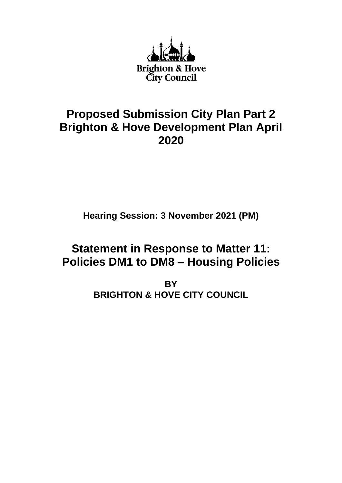

## **Proposed Submission City Plan Part 2 Brighton & Hove Development Plan April 2020**

**Hearing Session: 3 November 2021 (PM)**

# **Statement in Response to Matter 11: Policies DM1 to DM8 – Housing Policies**

**BY BRIGHTON & HOVE CITY COUNCIL**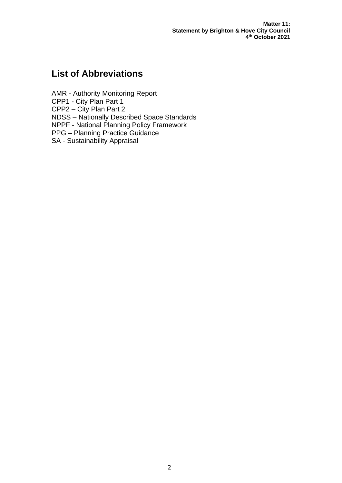**Matter 11: Statement by Brighton & Hove City Council 4 th October 2021**

## **List of Abbreviations**

AMR - Authority Monitoring Report CPP1 - City Plan Part 1 CPP2 – City Plan Part 2 NDSS – Nationally Described Space Standards NPPF - National Planning Policy Framework PPG – Planning Practice Guidance SA - Sustainability Appraisal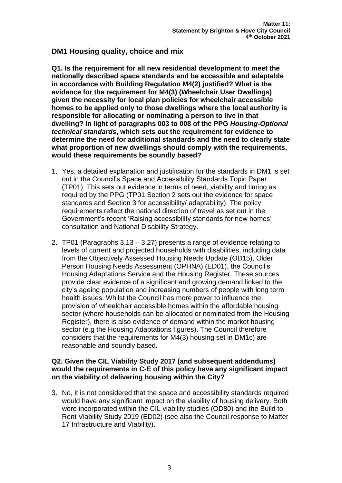## **DM1 Housing quality, choice and mix**

**Q1. Is the requirement for all new residential development to meet the nationally described space standards and be accessible and adaptable in accordance with Building Regulation M4(2) justified? What is the evidence for the requirement for M4(3) (Wheelchair User Dwellings) given the necessity for local plan policies for wheelchair accessible homes to be applied only to those dwellings where the local authority is responsible for allocating or nominating a person to live in that dwelling? In light of paragraphs 003 to 008 of the PPG** *Housing-Optional technical standards***, which sets out the requirement for evidence to determine the need for additional standards and the need to clearly state what proportion of new dwellings should comply with the requirements, would these requirements be soundly based?**

- 1. Yes, a detailed explanation and justification for the standards in DM1 is set out in the Council's Space and Accessibility Standards Topic Paper (TP01). This sets out evidence in terms of need, viability and timing as required by the PPG (TP01 Section 2 sets out the evidence for space standards and Section 3 for accessibility/ adaptability). The policy requirements reflect the national direction of travel as set out in the Government's recent 'Raising accessibility standards for new homes' consultation and National Disability Strategy.
- 2. TP01 (Paragraphs 3.13 3.27) presents a range of evidence relating to levels of current and projected households with disabilities, including data from the Objectively Assessed Housing Needs Update (OD15), Older Person Housing Needs Assessment (OPHNA) (ED01), the Council's Housing Adaptations Service and the Housing Register. These sources provide clear evidence of a significant and growing demand linked to the city's ageing population and increasing numbers of people with long term health issues. Whilst the Council has more power to influence the provision of wheelchair accessible homes within the affordable housing sector (where households can be allocated or nominated from the Housing Register), there is also evidence of demand within the market housing sector (e.g the Housing Adaptations figures). The Council therefore considers that the requirements for M4(3) housing set in DM1c) are reasonable and soundly based.

## **Q2. Given the CIL Viability Study 2017 (and subsequent addendums) would the requirements in C-E of this policy have any significant impact on the viability of delivering housing within the City?**

3. No, it is not considered that the space and accessibility standards required would have any significant impact on the viability of housing delivery. Both were incorporated within the CIL viability studies (OD80) and the Build to Rent Viability Study 2019 (ED02) (see also the Council response to Matter 17 Infrastructure and Viability).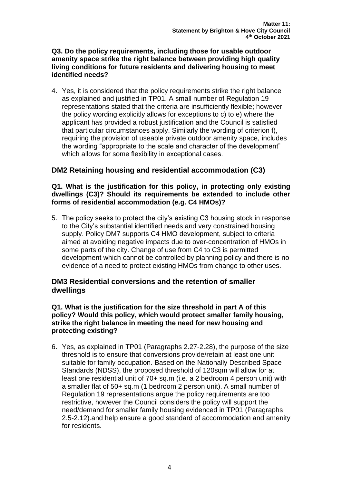## **Q3. Do the policy requirements, including those for usable outdoor amenity space strike the right balance between providing high quality living conditions for future residents and delivering housing to meet identified needs?**

4. Yes, it is considered that the policy requirements strike the right balance as explained and justified in TP01. A small number of Regulation 19 representations stated that the criteria are insufficiently flexible; however the policy wording explicitly allows for exceptions to c) to e) where the applicant has provided a robust justification and the Council is satisfied that particular circumstances apply. Similarly the wording of criterion f), requiring the provision of useable private outdoor amenity space, includes the wording "appropriate to the scale and character of the development" which allows for some flexibility in exceptional cases.

## **DM2 Retaining housing and residential accommodation (C3)**

## **Q1. What is the justification for this policy, in protecting only existing dwellings (C3)? Should its requirements be extended to include other forms of residential accommodation (e.g. C4 HMOs)?**

5. The policy seeks to protect the city's existing C3 housing stock in response to the City's substantial identified needs and very constrained housing supply. Policy DM7 supports C4 HMO development, subject to criteria aimed at avoiding negative impacts due to over-concentration of HMOs in some parts of the city. Change of use from C4 to C3 is permitted development which cannot be controlled by planning policy and there is no evidence of a need to protect existing HMOs from change to other uses.

## **DM3 Residential conversions and the retention of smaller dwellings**

## **Q1. What is the justification for the size threshold in part A of this policy? Would this policy, which would protect smaller family housing, strike the right balance in meeting the need for new housing and protecting existing?**

6. Yes, as explained in TP01 (Paragraphs 2.27-2.28), the purpose of the size threshold is to ensure that conversions provide/retain at least one unit suitable for family occupation. Based on the Nationally Described Space Standards (NDSS), the proposed threshold of 120sqm will allow for at least one residential unit of 70+ sq.m (i.e. a 2 bedroom 4 person unit) with a smaller flat of 50+ sq.m (1 bedroom 2 person unit). A small number of Regulation 19 representations argue the policy requirements are too restrictive, however the Council considers the policy will support the need/demand for smaller family housing evidenced in TP01 (Paragraphs 2.5-2.12).and help ensure a good standard of accommodation and amenity for residents.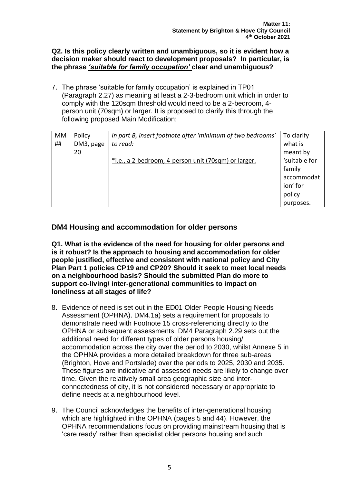## **Q2. Is this policy clearly written and unambiguous, so it is evident how a decision maker should react to development proposals? In particular, is the phrase** *'suitable for family occupation'* **clear and unambiguous?**

7. The phrase 'suitable for family occupation' is explained in TP01 (Paragraph 2.27) as meaning at least a 2-3-bedroom unit which in order to comply with the 120sqm threshold would need to be a 2-bedroom, 4 person unit (70sqm) or larger. It is proposed to clarify this through the following proposed Main Modification:

| MM | Policy    | In part B, insert footnote after 'minimum of two bedrooms' | To clarify    |
|----|-----------|------------------------------------------------------------|---------------|
| ## | DM3, page | to read:                                                   | what is       |
|    | 20        |                                                            | meant by      |
|    |           | *i.e., a 2-bedroom, 4-person unit (70sqm) or larger.       | 'suitable for |
|    |           |                                                            | family        |
|    |           |                                                            | accommodat    |
|    |           |                                                            | ion' for      |
|    |           |                                                            | policy        |
|    |           |                                                            | purposes.     |

## **DM4 Housing and accommodation for older persons**

**Q1. What is the evidence of the need for housing for older persons and is it robust? Is the approach to housing and accommodation for older people justified, effective and consistent with national policy and City Plan Part 1 policies CP19 and CP20? Should it seek to meet local needs on a neighbourhood basis? Should the submitted Plan do more to support co-living/ inter-generational communities to impact on loneliness at all stages of life?** 

- 8. Evidence of need is set out in the ED01 Older People Housing Needs Assessment (OPHNA). DM4.1a) sets a requirement for proposals to demonstrate need with Footnote 15 cross-referencing directly to the OPHNA or subsequent assessments. DM4 Paragraph 2.29 sets out the additional need for different types of older persons housing/ accommodation across the city over the period to 2030, whilst Annexe 5 in the OPHNA provides a more detailed breakdown for three sub-areas (Brighton, Hove and Portslade) over the periods to 2025, 2030 and 2035. These figures are indicative and assessed needs are likely to change over time. Given the relatively small area geographic size and interconnectedness of city, it is not considered necessary or appropriate to define needs at a neighbourhood level.
- 9. The Council acknowledges the benefits of inter-generational housing which are highlighted in the OPHNA (pages 5 and 44). However, the OPHNA recommendations focus on providing mainstream housing that is 'care ready' rather than specialist older persons housing and such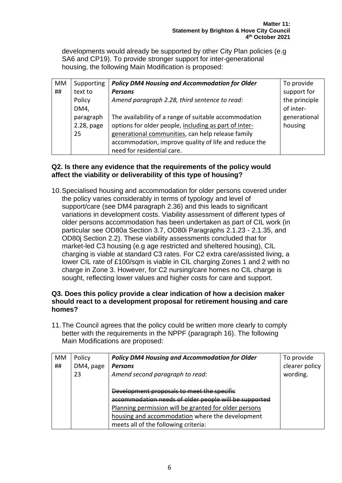developments would already be supported by other City Plan policies (e.g SA6 and CP19). To provide stronger support for inter-generational housing, the following Main Modification is proposed:

| <b>MM</b> | Supporting | <b>Policy DM4 Housing and Accommodation for Older</b> | To provide    |
|-----------|------------|-------------------------------------------------------|---------------|
| ##        | text to    | <b>Persons</b>                                        | support for   |
|           | Policy     | Amend paragraph 2.28, third sentence to read:         | the principle |
|           | DM4,       |                                                       | of inter-     |
|           | paragraph  | The availability of a range of suitable accommodation | generational  |
|           | 2.28, page | options for older people, including as part of inter- | housing       |
|           | 25         | generational communities, can help release family     |               |
|           |            | accommodation, improve quality of life and reduce the |               |
|           |            | need for residential care.                            |               |

## **Q2. Is there any evidence that the requirements of the policy would affect the viability or deliverability of this type of housing?**

10.Specialised housing and accommodation for older persons covered under the policy varies considerably in terms of typology and level of support/care (see DM4 paragraph 2.36) and this leads to significant variations in development costs. Viability assessment of different types of older persons accommodation has been undertaken as part of CIL work (in particular see OD80a Section 3.7, OD80i Paragraphs 2.1.23 - 2.1.35, and OD80j Section 2.2). These viability assessments concluded that for market-led C3 housing (e.g age restricted and sheltered housing), CIL charging is viable at standard C3 rates. For C2 extra care/assisted living, a lower CIL rate of £100/sqm is viable in CIL charging Zones 1 and 2 with no charge in Zone 3. However, for C2 nursing/care homes no CIL charge is sought, reflecting lower values and higher costs for care and support.

## **Q3. Does this policy provide a clear indication of how a decision maker should react to a development proposal for retirement housing and care homes?**

11.The Council agrees that the policy could be written more clearly to comply better with the requirements in the NPPF (paragraph 16). The following Main Modifications are proposed:

| МM | Policy    | <b>Policy DM4 Housing and Accommodation for Older</b>                                                                                                                                                                                                   | To provide     |
|----|-----------|---------------------------------------------------------------------------------------------------------------------------------------------------------------------------------------------------------------------------------------------------------|----------------|
| ## | DM4, page | <b>Persons</b>                                                                                                                                                                                                                                          | clearer policy |
|    | 23        | Amend second paragraph to read:                                                                                                                                                                                                                         | wording.       |
|    |           | Development proposals to meet the specific<br>accommodation needs of older people will be supported<br>Planning permission will be granted for older persons<br>housing and accommodation where the development<br>meets all of the following criteria: |                |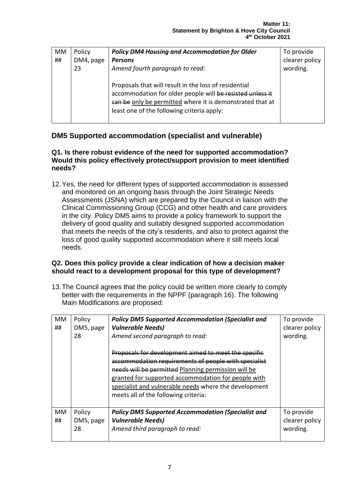| МM | Policy    | <b>Policy DM4 Housing and Accommodation for Older</b>                                                                                                                                                                         | To provide     |
|----|-----------|-------------------------------------------------------------------------------------------------------------------------------------------------------------------------------------------------------------------------------|----------------|
| ## | DM4, page | <b>Persons</b>                                                                                                                                                                                                                | clearer policy |
|    | 23        | Amend fourth paragraph to read:                                                                                                                                                                                               | wording.       |
|    |           | Proposals that will result in the loss of residential<br>accommodation for older people will be resisted unless it<br>can be only be permitted where it is demonstrated that at<br>least one of the following criteria apply: |                |

## **DM5 Supported accommodation (specialist and vulnerable)**

## **Q1. Is there robust evidence of the need for supported accommodation? Would this policy effectively protect/support provision to meet identified needs?**

12.Yes, the need for different types of supported accommodation is assessed and monitored on an ongoing basis through the Joint Strategic Needs Assessments (JSNA) which are prepared by the Council in liaison with the Clinical Commissioning Group (CCG) and other health and care providers in the city. Policy DM5 aims to provide a policy framework to support the delivery of good quality and suitably designed supported accommodation that meets the needs of the city's residents, and also to protect against the loss of good quality supported accommodation where it still meets local needs.

## **Q2. Does this policy provide a clear indication of how a decision maker should react to a development proposal for this type of development?**

13.The Council agrees that the policy could be written more clearly to comply better with the requirements in the NPPF (paragraph 16). The following Main Modifications are proposed:

| MM.<br>## | Policy<br>DM5, page<br>28 | <b>Policy DM5 Supported Accommodation (Specialist and</b><br><b>Vulnerable Needs)</b><br>Amend second paragraph to read:<br>Proposals for development aimed to meet the specific<br>accommodation requirements of people with specialist<br>needs will be permitted Planning permission will be<br>granted for supported accommodation for people with<br>specialist and vulnerable needs where the development<br>meets all of the following criteria: | To provide<br>clearer policy<br>wording. |
|-----------|---------------------------|---------------------------------------------------------------------------------------------------------------------------------------------------------------------------------------------------------------------------------------------------------------------------------------------------------------------------------------------------------------------------------------------------------------------------------------------------------|------------------------------------------|
| МM<br>##  | Policy<br>DM5, page<br>28 | <b>Policy DM5 Supported Accommodation (Specialist and</b><br><b>Vulnerable Needs)</b><br>Amend third paragraph to read:                                                                                                                                                                                                                                                                                                                                 | To provide<br>clearer policy<br>wording. |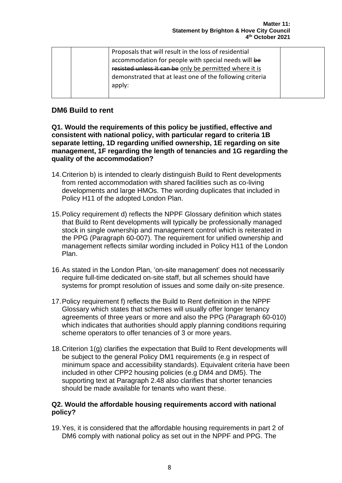|  | Proposals that will result in the loss of residential    |  |
|--|----------------------------------------------------------|--|
|  | accommodation for people with special needs will be      |  |
|  | resisted unless it can be only be permitted where it is  |  |
|  | demonstrated that at least one of the following criteria |  |
|  | apply:                                                   |  |
|  |                                                          |  |

## **DM6 Build to rent**

**Q1. Would the requirements of this policy be justified, effective and consistent with national policy, with particular regard to criteria 1B separate letting, 1D regarding unified ownership, 1E regarding on site management, 1F regarding the length of tenancies and 1G regarding the quality of the accommodation?**

- 14.Criterion b) is intended to clearly distinguish Build to Rent developments from rented accommodation with shared facilities such as co-living developments and large HMOs. The wording duplicates that included in Policy H11 of the adopted London Plan.
- 15.Policy requirement d) reflects the NPPF Glossary definition which states that Build to Rent developments will typically be professionally managed stock in single ownership and management control which is reiterated in the PPG (Paragraph 60-007). The requirement for unified ownership and management reflects similar wording included in Policy H11 of the London Plan.
- 16.As stated in the London Plan, 'on-site management' does not necessarily require full-time dedicated on-site staff, but all schemes should have systems for prompt resolution of issues and some daily on-site presence.
- 17.Policy requirement f) reflects the Build to Rent definition in the NPPF Glossary which states that schemes will usually offer longer tenancy agreements of three years or more and also the PPG (Paragraph 60-010) which indicates that authorities should apply planning conditions requiring scheme operators to offer tenancies of 3 or more years.
- 18.Criterion 1(g) clarifies the expectation that Build to Rent developments will be subject to the general Policy DM1 requirements (e.g in respect of minimum space and accessibility standards). Equivalent criteria have been included in other CPP2 housing policies (e.g DM4 and DM5). The supporting text at Paragraph 2.48 also clarifies that shorter tenancies should be made available for tenants who want these.

## **Q2. Would the affordable housing requirements accord with national policy?**

19.Yes, it is considered that the affordable housing requirements in part 2 of DM6 comply with national policy as set out in the NPPF and PPG. The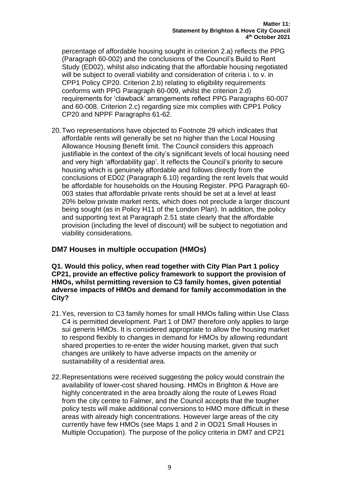percentage of affordable housing sought in criterion 2.a) reflects the PPG (Paragraph 60-002) and the conclusions of the Council's Build to Rent Study (ED02), whilst also indicating that the affordable housing negotiated will be subject to overall viability and consideration of criteria i. to v. in CPP1 Policy CP20. Criterion 2.b) relating to eligibility requirements conforms with PPG Paragraph 60-009, whilst the criterion 2.d) requirements for 'clawback' arrangements reflect PPG Paragraphs 60-007 and 60-008. Criterion 2.c) regarding size mix complies with CPP1 Policy CP20 and NPPF Paragraphs 61-62.

20.Two representations have objected to Footnote 29 which indicates that affordable rents will generally be set no higher than the Local Housing Allowance Housing Benefit limit. The Council considers this approach justifiable in the context of the city's significant levels of local housing need and very high 'affordability gap'. It reflects the Council's priority to secure housing which is genuinely affordable and follows directly from the conclusions of ED02 (Paragraph 6.10) regarding the rent levels that would be affordable for households on the Housing Register. PPG Paragraph 60- 003 states that affordable private rents should be set at a level at least 20% below private market rents, which does not preclude a larger discount being sought (as in Policy H11 of the London Plan). In addition, the policy and supporting text at Paragraph 2.51 state clearly that the affordable provision (including the level of discount) will be subject to negotiation and viability considerations.

## **DM7 Houses in multiple occupation (HMOs)**

#### **Q1. Would this policy, when read together with City Plan Part 1 policy CP21, provide an effective policy framework to support the provision of HMOs, whilst permitting reversion to C3 family homes, given potential adverse impacts of HMOs and demand for family accommodation in the City?**

- 21.Yes, reversion to C3 family homes for small HMOs falling within Use Class C4 is permitted development. Part 1 of DM7 therefore only applies to large sui generis HMOs. It is considered appropriate to allow the housing market to respond flexibly to changes in demand for HMOs by allowing redundant shared properties to re-enter the wider housing market, given that such changes are unlikely to have adverse impacts on the amenity or sustainability of a residential area.
- 22.Representations were received suggesting the policy would constrain the availability of lower-cost shared housing. HMOs in Brighton & Hove are highly concentrated in the area broadly along the route of Lewes Road from the city centre to Falmer, and the Council accepts that the tougher policy tests will make additional conversions to HMO more difficult in these areas with already high concentrations. However large areas of the city currently have few HMOs (see Maps 1 and 2 in OD21 Small Houses in Multiple Occupation). The purpose of the policy criteria in DM7 and CP21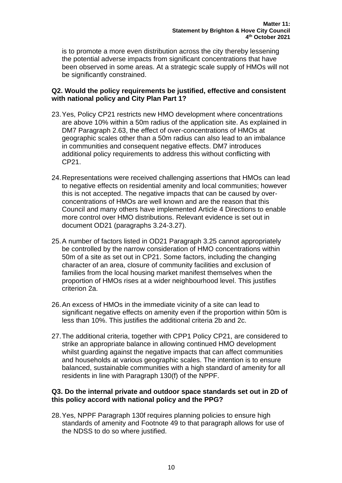is to promote a more even distribution across the city thereby lessening the potential adverse impacts from significant concentrations that have been observed in some areas. At a strategic scale supply of HMOs will not be significantly constrained.

## **Q2. Would the policy requirements be justified, effective and consistent with national policy and City Plan Part 1?**

- 23.Yes, Policy CP21 restricts new HMO development where concentrations are above 10% within a 50m radius of the application site. As explained in DM7 Paragraph 2.63, the effect of over-concentrations of HMOs at geographic scales other than a 50m radius can also lead to an imbalance in communities and consequent negative effects. DM7 introduces additional policy requirements to address this without conflicting with CP21.
- 24.Representations were received challenging assertions that HMOs can lead to negative effects on residential amenity and local communities; however this is not accepted. The negative impacts that can be caused by overconcentrations of HMOs are well known and are the reason that this Council and many others have implemented Article 4 Directions to enable more control over HMO distributions. Relevant evidence is set out in document OD21 (paragraphs 3.24-3.27).
- 25.A number of factors listed in OD21 Paragraph 3.25 cannot appropriately be controlled by the narrow consideration of HMO concentrations within 50m of a site as set out in CP21. Some factors, including the changing character of an area, closure of community facilities and exclusion of families from the local housing market manifest themselves when the proportion of HMOs rises at a wider neighbourhood level. This justifies criterion 2a.
- 26.An excess of HMOs in the immediate vicinity of a site can lead to significant negative effects on amenity even if the proportion within 50m is less than 10%. This justifies the additional criteria 2b and 2c.
- 27.The additional criteria, together with CPP1 Policy CP21, are considered to strike an appropriate balance in allowing continued HMO development whilst guarding against the negative impacts that can affect communities and households at various geographic scales. The intention is to ensure balanced, sustainable communities with a high standard of amenity for all residents in line with Paragraph 130(f) of the NPPF.

## **Q3. Do the internal private and outdoor space standards set out in 2D of this policy accord with national policy and the PPG?**

28.Yes, NPPF Paragraph 130f requires planning policies to ensure high standards of amenity and Footnote 49 to that paragraph allows for use of the NDSS to do so where justified.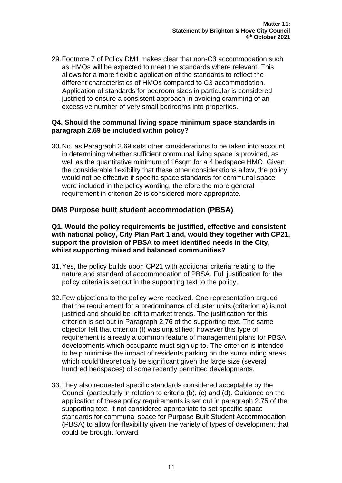29.Footnote 7 of Policy DM1 makes clear that non-C3 accommodation such as HMOs will be expected to meet the standards where relevant. This allows for a more flexible application of the standards to reflect the different characteristics of HMOs compared to C3 accommodation. Application of standards for bedroom sizes in particular is considered justified to ensure a consistent approach in avoiding cramming of an excessive number of very small bedrooms into properties.

## **Q4. Should the communal living space minimum space standards in paragraph 2.69 be included within policy?**

30.No, as Paragraph 2.69 sets other considerations to be taken into account in determining whether sufficient communal living space is provided, as well as the quantitative minimum of 16sqm for a 4 bedspace HMO. Given the considerable flexibility that these other considerations allow, the policy would not be effective if specific space standards for communal space were included in the policy wording, therefore the more general requirement in criterion 2e is considered more appropriate.

## **DM8 Purpose built student accommodation (PBSA)**

#### **Q1. Would the policy requirements be justified, effective and consistent with national policy, City Plan Part 1 and, would they together with CP21, support the provision of PBSA to meet identified needs in the City, whilst supporting mixed and balanced communities?**

- 31.Yes, the policy builds upon CP21 with additional criteria relating to the nature and standard of accommodation of PBSA. Full justification for the policy criteria is set out in the supporting text to the policy.
- 32.Few objections to the policy were received. One representation argued that the requirement for a predominance of cluster units (criterion a) is not justified and should be left to market trends. The justification for this criterion is set out in Paragraph 2.76 of the supporting text. The same objector felt that criterion (f) was unjustified; however this type of requirement is already a common feature of management plans for PBSA developments which occupants must sign up to. The criterion is intended to help minimise the impact of residents parking on the surrounding areas, which could theoretically be significant given the large size (several hundred bedspaces) of some recently permitted developments.
- 33.They also requested specific standards considered acceptable by the Council (particularly in relation to criteria (b), (c) and (d). Guidance on the application of these policy requirements is set out in paragraph 2.75 of the supporting text. It not considered appropriate to set specific space standards for communal space for Purpose Built Student Accommodation (PBSA) to allow for flexibility given the variety of types of development that could be brought forward.